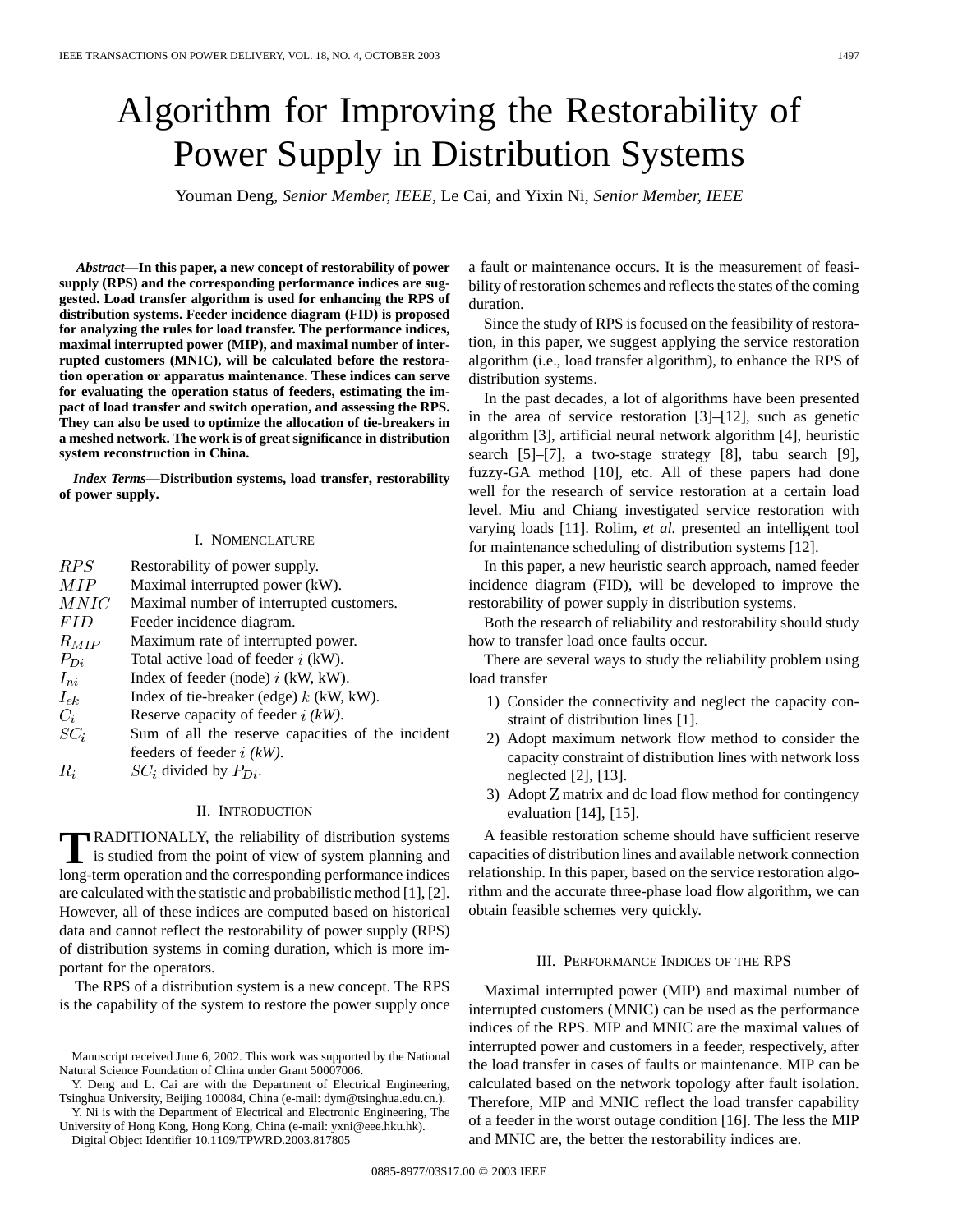# Algorithm for Improving the Restorability of Power Supply in Distribution Systems

Youman Deng*, Senior Member, IEEE*, Le Cai, and Yixin Ni*, Senior Member, IEEE*

*Abstract—***In this paper, a new concept of restorability of power supply (RPS) and the corresponding performance indices are suggested. Load transfer algorithm is used for enhancing the RPS of distribution systems. Feeder incidence diagram (FID) is proposed for analyzing the rules for load transfer. The performance indices, maximal interrupted power (MIP), and maximal number of interrupted customers (MNIC), will be calculated before the restoration operation or apparatus maintenance. These indices can serve for evaluating the operation status of feeders, estimating the impact of load transfer and switch operation, and assessing the RPS. They can also be used to optimize the allocation of tie-breakers in a meshed network. The work is of great significance in distribution system reconstruction in China.**

*Index Terms—***Distribution systems, load transfer, restorability of power supply.**

### I. NOMENCLATURE

| RPS             | Restorability of power supply.                    |
|-----------------|---------------------------------------------------|
| MІР             | Maximal interrupted power (kW).                   |
| $\mathit{MNIC}$ | Maximal number of interrupted customers.          |
| <i>FID</i>      | Feeder incidence diagram.                         |
| $R_{MIP}$       | Maximum rate of interrupted power.                |
| $P_{Di}$        | Total active load of feeder $i$ (kW).             |
| $I_{ni}$        | Index of feeder (node) $i$ (kW, kW).              |
| $I_{ek}$        | Index of tie-breaker (edge) $k$ (kW, kW).         |
| $C_i$           | Reserve capacity of feeder $i$ (kW).              |
| $SC_i$          | Sum of all the reserve capacities of the incident |
|                 | feeders of feeder $i$ (kW).                       |
| $R_i$           | $SC_i$ divided by $P_{Di}$ .                      |

## II. INTRODUCTION

**TRADITIONALLY**, the reliability of distribution systems is studied from the point of view of system planning and long term appearing and the corresponding performance indices long-term operation and the corresponding performance indices are calculated with the statistic and probabilistic method [1], [2]. However, all of these indices are computed based on historical data and cannot reflect the restorability of power supply (RPS) of distribution systems in coming duration, which is more important for the operators.

The RPS of a distribution system is a new concept. The RPS is the capability of the system to restore the power supply once

Manuscript received June 6, 2002. This work was supported by the National Natural Science Foundation of China under Grant 50007006.

Y. Deng and L. Cai are with the Department of Electrical Engineering, Tsinghua University, Beijing 100084, China (e-mail: dym@tsinghua.edu.cn.).

Y. Ni is with the Department of Electrical and Electronic Engineering, The University of Hong Kong, Hong Kong, China (e-mail: yxni@eee.hku.hk).

Digital Object Identifier 10.1109/TPWRD.2003.817805

a fault or maintenance occurs. It is the measurement of feasibility of restoration schemes and reflects the states of the coming duration.

Since the study of RPS is focused on the feasibility of restoration, in this paper, we suggest applying the service restoration algorithm (i.e., load transfer algorithm), to enhance the RPS of distribution systems.

In the past decades, a lot of algorithms have been presented in the area of service restoration [3]–[12], such as genetic algorithm [3], artificial neural network algorithm [4], heuristic search [5]–[7], a two-stage strategy [8], tabu search [9], fuzzy-GA method [10], etc. All of these papers had done well for the research of service restoration at a certain load level. Miu and Chiang investigated service restoration with varying loads [11]. Rolim, *et al.* presented an intelligent tool for maintenance scheduling of distribution systems [12].

In this paper, a new heuristic search approach, named feeder incidence diagram (FID), will be developed to improve the restorability of power supply in distribution systems.

Both the research of reliability and restorability should study how to transfer load once faults occur.

There are several ways to study the reliability problem using load transfer

- 1) Consider the connectivity and neglect the capacity constraint of distribution lines [1].
- 2) Adopt maximum network flow method to consider the capacity constraint of distribution lines with network loss neglected [2], [13].
- 3) Adopt  $Z$  matrix and dc load flow method for contingency evaluation [14], [15].

A feasible restoration scheme should have sufficient reserve capacities of distribution lines and available network connection relationship. In this paper, based on the service restoration algorithm and the accurate three-phase load flow algorithm, we can obtain feasible schemes very quickly.

## III. PERFORMANCE INDICES OF THE RPS

Maximal interrupted power (MIP) and maximal number of interrupted customers (MNIC) can be used as the performance indices of the RPS. MIP and MNIC are the maximal values of interrupted power and customers in a feeder, respectively, after the load transfer in cases of faults or maintenance. MIP can be calculated based on the network topology after fault isolation. Therefore, MIP and MNIC reflect the load transfer capability of a feeder in the worst outage condition [16]. The less the MIP and MNIC are, the better the restorability indices are.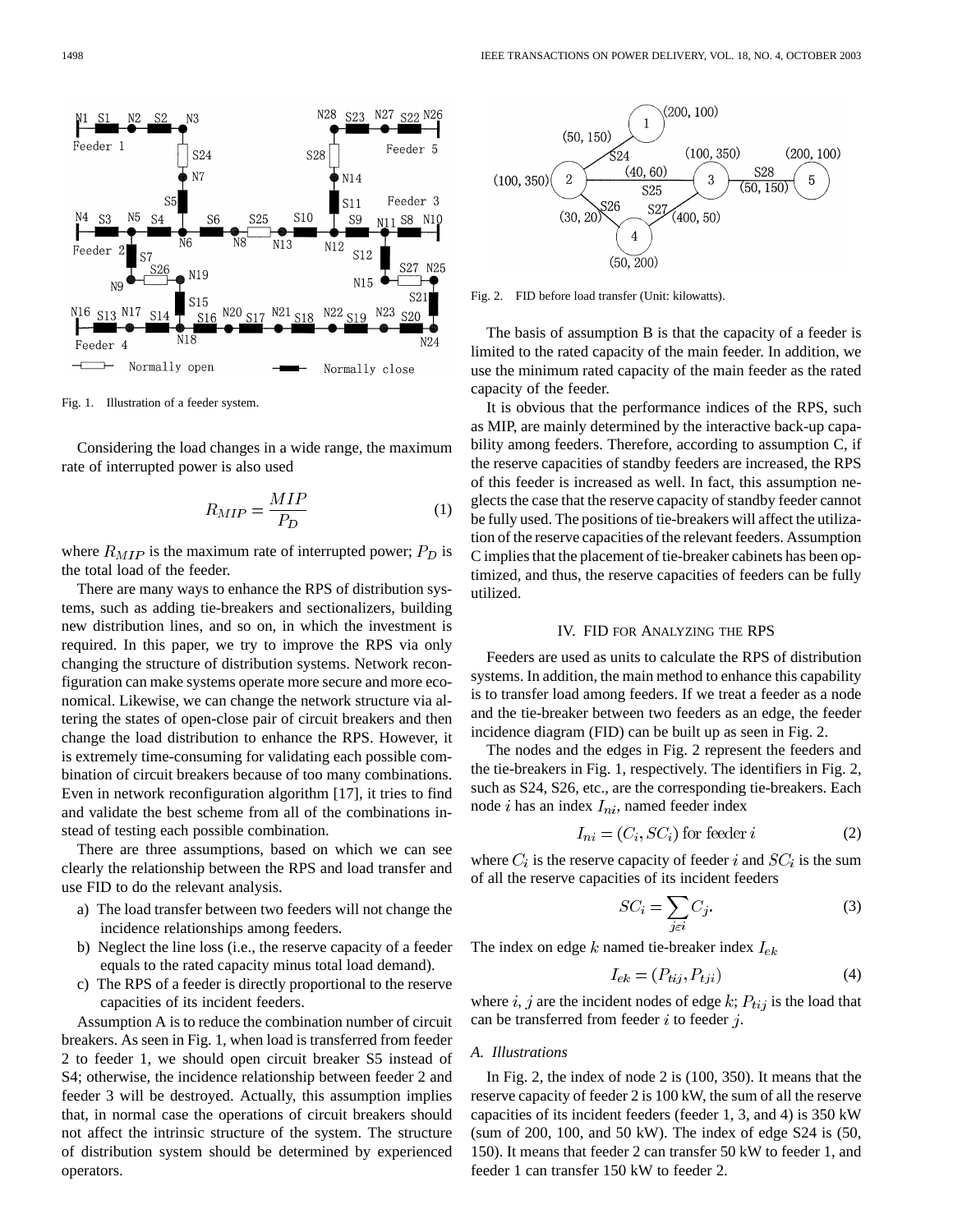Feeder 4 Normally open

S<sub>24</sub>

N7

Fig. 1. Illustration of a feeder system.

Considering the load changes in a wide range, the maximum rate of interrupted power is also used

$$
R_{MIP} = \frac{MIP}{P_D} \tag{1}
$$

N28

N14

 $S11$ 

 $SQ$ 

S<sub>12</sub>

N15

 $S19$ 

Normally close

 $N12$ 

N22

S<sub>28</sub>

 $S10$ 

 $N13$ 

 $N\!21$ 

S<sub>25</sub>

 $N20$  S17

S23 N27 S22 N26

N11

 ${\tt N23}$ 

Feeder 5

Feeder 3

S<sub>27</sub> N25

 $S20$ 

 $S2$ 

S8 N10

where  $R_{MIP}$  is the maximum rate of interrupted power;  $P_D$  is the total load of the feeder.

There are many ways to enhance the RPS of distribution systems, such as adding tie-breakers and sectionalizers, building new distribution lines, and so on, in which the investment is required. In this paper, we try to improve the RPS via only changing the structure of distribution systems. Network reconfiguration can make systems operate more secure and more economical. Likewise, we can change the network structure via altering the states of open-close pair of circuit breakers and then change the load distribution to enhance the RPS. However, it is extremely time-consuming for validating each possible combination of circuit breakers because of too many combinations. Even in network reconfiguration algorithm [17], it tries to find and validate the best scheme from all of the combinations instead of testing each possible combination.

There are three assumptions, based on which we can see clearly the relationship between the RPS and load transfer and use FID to do the relevant analysis.

- a) The load transfer between two feeders will not change the incidence relationships among feeders.
- b) Neglect the line loss (i.e., the reserve capacity of a feeder equals to the rated capacity minus total load demand).
- c) The RPS of a feeder is directly proportional to the reserve capacities of its incident feeders.

Assumption A is to reduce the combination number of circuit breakers. As seen in Fig. 1, when load is transferred from feeder 2 to feeder 1, we should open circuit breaker S5 instead of S4; otherwise, the incidence relationship between feeder 2 and feeder 3 will be destroyed. Actually, this assumption implies that, in normal case the operations of circuit breakers should not affect the intrinsic structure of the system. The structure of distribution system should be determined by experienced operators.



Fig. 2. FID before load transfer (Unit: kilowatts).

The basis of assumption B is that the capacity of a feeder is limited to the rated capacity of the main feeder. In addition, we use the minimum rated capacity of the main feeder as the rated capacity of the feeder.

It is obvious that the performance indices of the RPS, such as MIP, are mainly determined by the interactive back-up capability among feeders. Therefore, according to assumption C, if the reserve capacities of standby feeders are increased, the RPS of this feeder is increased as well. In fact, this assumption neglects the case that the reserve capacity of standby feeder cannot be fully used. The positions of tie-breakers will affect the utilization of the reserve capacities of the relevant feeders. Assumption C implies that the placement of tie-breaker cabinets has been optimized, and thus, the reserve capacities of feeders can be fully utilized.

# IV. FID FOR ANALYZING THE RPS

Feeders are used as units to calculate the RPS of distribution systems. In addition, the main method to enhance this capability is to transfer load among feeders. If we treat a feeder as a node and the tie-breaker between two feeders as an edge, the feeder incidence diagram (FID) can be built up as seen in Fig. 2.

The nodes and the edges in Fig. 2 represent the feeders and the tie-breakers in Fig. 1, respectively. The identifiers in Fig. 2, such as S24, S26, etc., are the corresponding tie-breakers. Each node  $i$  has an index  $I_{ni}$ , named feeder index

$$
I_{ni} = (C_i, SC_i) \text{ for feeder } i \tag{2}
$$

where  $C_i$  is the reserve capacity of feeder i and  $SC_i$  is the sum of all the reserve capacities of its incident feeders

$$
SC_i = \sum_{j \in i} C_j.
$$
 (3)

The index on edge  $k$  named tie-breaker index  $I_{ek}$ 

$$
I_{ek} = (P_{tij}, P_{tji})
$$
\n<sup>(4)</sup>

where i, j are the incident nodes of edge k;  $P_{tij}$  is the load that can be transferred from feeder  $i$  to feeder  $j$ .

## *A. Illustrations*

In Fig. 2, the index of node 2 is (100, 350). It means that the reserve capacity of feeder 2 is 100 kW, the sum of all the reserve capacities of its incident feeders (feeder 1, 3, and 4) is 350 kW (sum of 200, 100, and 50 kW). The index of edge S24 is (50, 150). It means that feeder 2 can transfer 50 kW to feeder 1, and feeder 1 can transfer 150 kW to feeder 2.

Feeder

 $S^2$ 

N16 S13 N17

Feeder

N<sub>5</sub>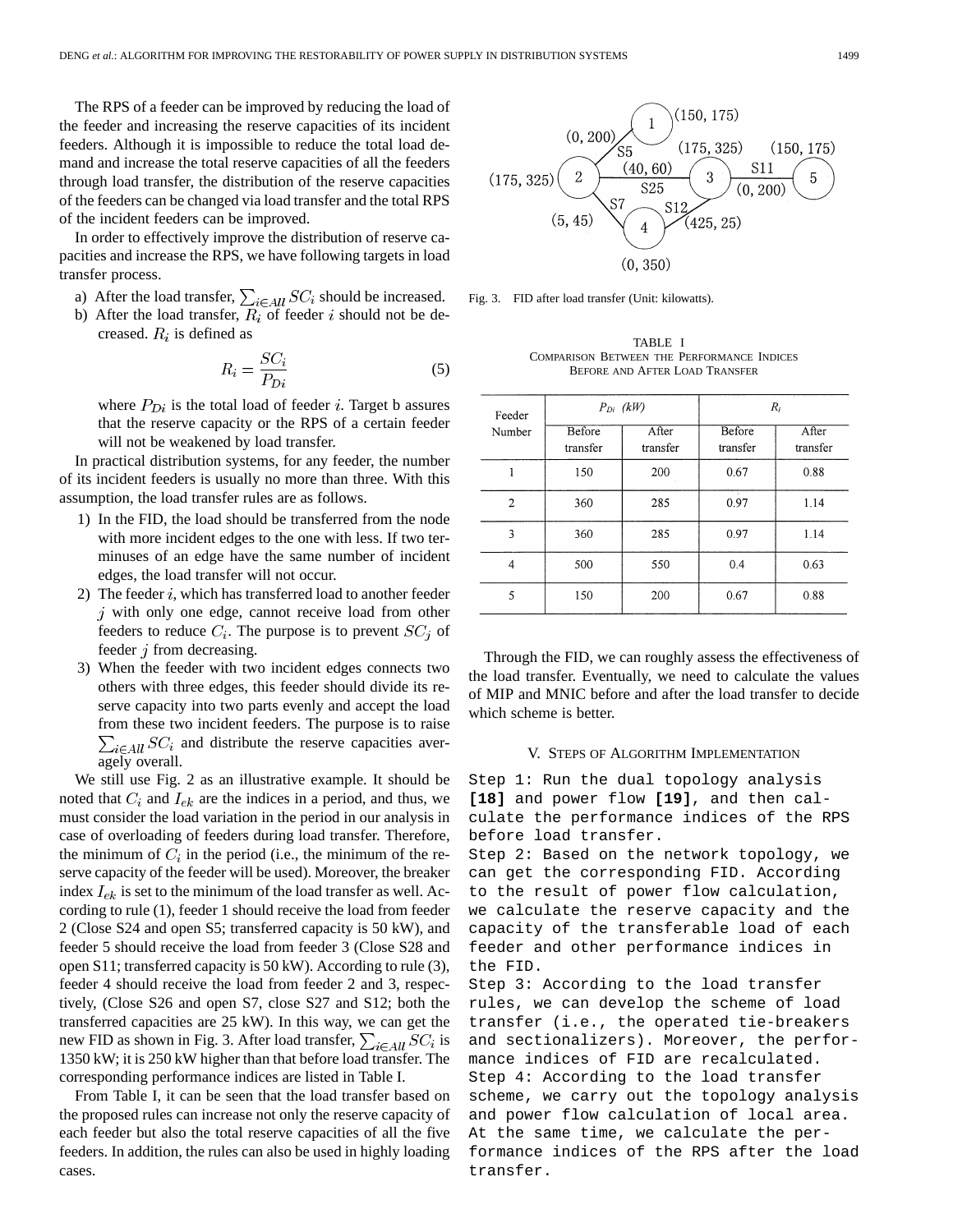The RPS of a feeder can be improved by reducing the load of the feeder and increasing the reserve capacities of its incident feeders. Although it is impossible to reduce the total load demand and increase the total reserve capacities of all the feeders through load transfer, the distribution of the reserve capacities of the feeders can be changed via load transfer and the total RPS of the incident feeders can be improved.

In order to effectively improve the distribution of reserve capacities and increase the RPS, we have following targets in load transfer process.

- a) After the load transfer,  $\sum_{i \in All} SC_i$  should be increased.
- b) After the load transfer,  $R_i$  of feeder i should not be decreased.  $R_i$  is defined as

$$
R_i = \frac{SC_i}{P_{Di}}\tag{5}
$$

where  $P_{Di}$  is the total load of feeder i. Target b assures that the reserve capacity or the RPS of a certain feeder will not be weakened by load transfer.

In practical distribution systems, for any feeder, the number of its incident feeders is usually no more than three. With this assumption, the load transfer rules are as follows.

- 1) In the FID, the load should be transferred from the node with more incident edges to the one with less. If two terminuses of an edge have the same number of incident edges, the load transfer will not occur.
- 2) The feeder  $i$ , which has transferred load to another feeder  $j$  with only one edge, cannot receive load from other feeders to reduce  $C_i$ . The purpose is to prevent  $SC_j$  of feeder  $j$  from decreasing.
- 3) When the feeder with two incident edges connects two others with three edges, this feeder should divide its reserve capacity into two parts evenly and accept the load from these two incident feeders. The purpose is to raise  $\sum_{i \in All} SC_i$  and distribute the reserve capacities averagely overall.

We still use Fig. 2 as an illustrative example. It should be noted that  $C_i$  and  $I_{ek}$  are the indices in a period, and thus, we must consider the load variation in the period in our analysis in case of overloading of feeders during load transfer. Therefore, the minimum of  $C_i$  in the period (i.e., the minimum of the reserve capacity of the feeder will be used). Moreover, the breaker index  $I_{ek}$  is set to the minimum of the load transfer as well. According to rule (1), feeder 1 should receive the load from feeder 2 (Close S24 and open S5; transferred capacity is 50 kW), and feeder 5 should receive the load from feeder 3 (Close S28 and open S11; transferred capacity is 50 kW). According to rule (3), feeder 4 should receive the load from feeder 2 and 3, respectively, (Close S26 and open S7, close S27 and S12; both the transferred capacities are 25 kW). In this way, we can get the new FID as shown in Fig. 3. After load transfer,  $\sum_{i \in All} SC_i$  is 1350 kW; it is 250 kW higher than that before load transfer. The corresponding performance indices are listed in Table I.

From Table I, it can be seen that the load transfer based on the proposed rules can increase not only the reserve capacity of each feeder but also the total reserve capacities of all the five feeders. In addition, the rules can also be used in highly loading cases.



Fig. 3. FID after load transfer (Unit: kilowatts).

TABLE I COMPARISON BETWEEN THE PERFORMANCE INDICES BEFORE AND AFTER LOAD TRANSFER

| Feeder<br>Number | $P_{Di}$ (kW)      |                   | $R_i$                  |                   |
|------------------|--------------------|-------------------|------------------------|-------------------|
|                  | Before<br>transfer | After<br>transfer | Before<br>transfer     | After<br>transfer |
| 1                | 150                | 200               | 0.67                   | 0.88              |
| $\overline{2}$   | 360                | 285               | $\mathbf{r}$ .<br>0.97 | 1.14              |
| 3                | 360                | 285               | 0.97                   | 1.14              |
| 4                | 500                | 550               | 0.4                    | 0.63              |
| 5                | 150                | 200               | 0.67                   | 0.88              |

Through the FID, we can roughly assess the effectiveness of the load transfer. Eventually, we need to calculate the values of MIP and MNIC before and after the load transfer to decide which scheme is better.

## V. STEPS OF ALGORITHM IMPLEMENTATION

Step 1: Run the dual topology analysis **[18]** and power flow **[19]**, and then calculate the performance indices of the RPS before load transfer.

Step 2: Based on the network topology, we can get the corresponding FID. According to the result of power flow calculation, we calculate the reserve capacity and the capacity of the transferable load of each feeder and other performance indices in the FID.

Step 3: According to the load transfer rules, we can develop the scheme of load transfer (i.e., the operated tie-breakers and sectionalizers). Moreover, the performance indices of FID are recalculated. Step 4: According to the load transfer scheme, we carry out the topology analysis and power flow calculation of local area. At the same time, we calculate the performance indices of the RPS after the load transfer.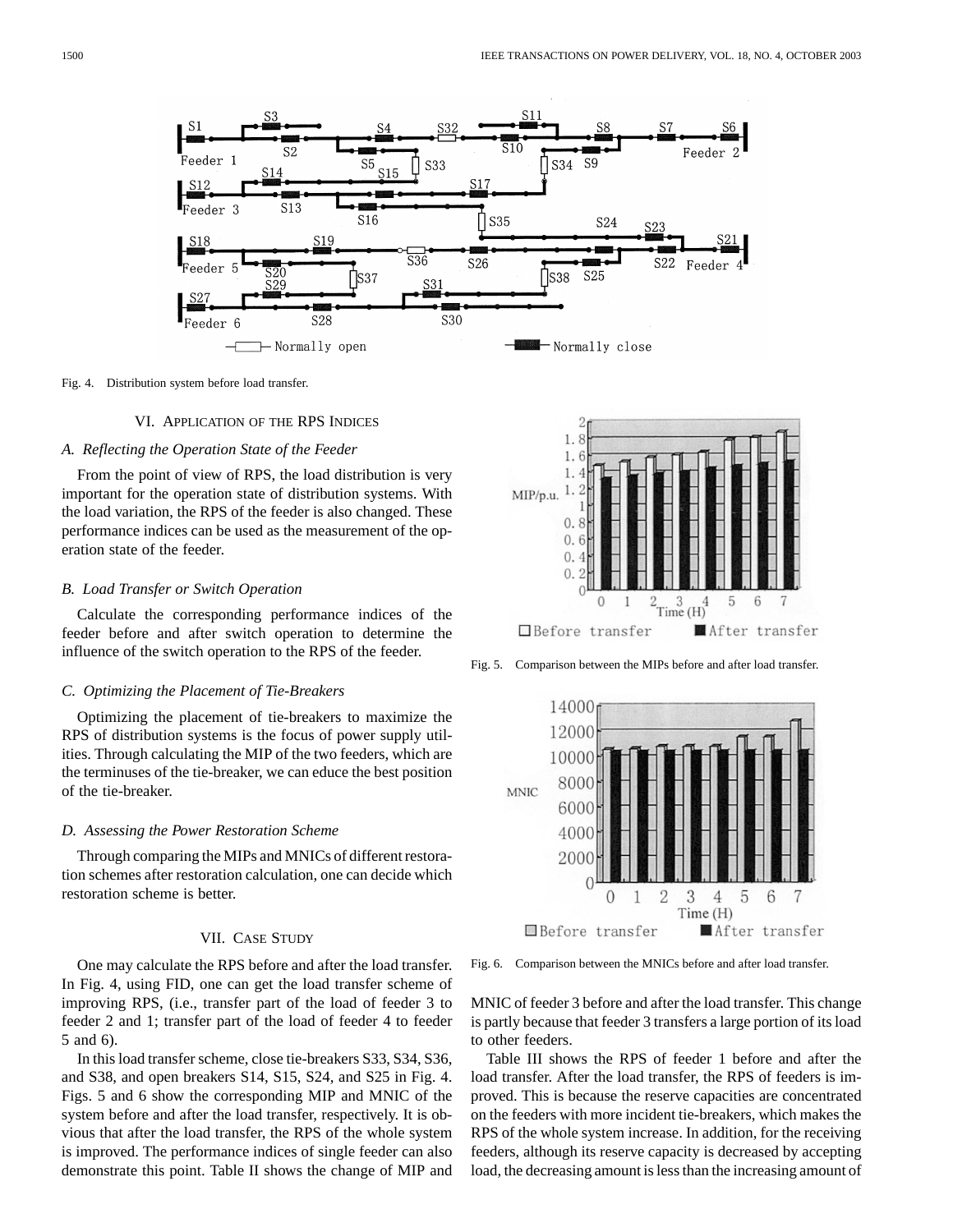

Fig. 4. Distribution system before load transfer.

#### VI. APPLICATION OF THE RPS INDICES

## *A. Reflecting the Operation State of the Feeder*

From the point of view of RPS, the load distribution is very important for the operation state of distribution systems. With the load variation, the RPS of the feeder is also changed. These performance indices can be used as the measurement of the operation state of the feeder.

# *B. Load Transfer or Switch Operation*

Calculate the corresponding performance indices of the feeder before and after switch operation to determine the influence of the switch operation to the RPS of the feeder.

#### *C. Optimizing the Placement of Tie-Breakers*

Optimizing the placement of tie-breakers to maximize the RPS of distribution systems is the focus of power supply utilities. Through calculating the MIP of the two feeders, which are the terminuses of the tie-breaker, we can educe the best position of the tie-breaker.

#### *D. Assessing the Power Restoration Scheme*

Through comparing the MIPs and MNICs of different restoration schemes after restoration calculation, one can decide which restoration scheme is better.

# VII. CASE STUDY

One may calculate the RPS before and after the load transfer. In Fig. 4, using FID, one can get the load transfer scheme of improving RPS, (i.e., transfer part of the load of feeder 3 to feeder 2 and 1; transfer part of the load of feeder 4 to feeder 5 and 6).

In this load transfer scheme, close tie-breakers S33, S34, S36, and S38, and open breakers S14, S15, S24, and S25 in Fig. 4. Figs. 5 and 6 show the corresponding MIP and MNIC of the system before and after the load transfer, respectively. It is obvious that after the load transfer, the RPS of the whole system is improved. The performance indices of single feeder can also demonstrate this point. Table II shows the change of MIP and



Fig. 5. Comparison between the MIPs before and after load transfer.



Fig. 6. Comparison between the MNICs before and after load transfer.

MNIC of feeder 3 before and after the load transfer. This change is partly because that feeder 3 transfers a large portion of its load to other feeders.

Table III shows the RPS of feeder 1 before and after the load transfer. After the load transfer, the RPS of feeders is improved. This is because the reserve capacities are concentrated on the feeders with more incident tie-breakers, which makes the RPS of the whole system increase. In addition, for the receiving feeders, although its reserve capacity is decreased by accepting load, the decreasing amount is less than the increasing amount of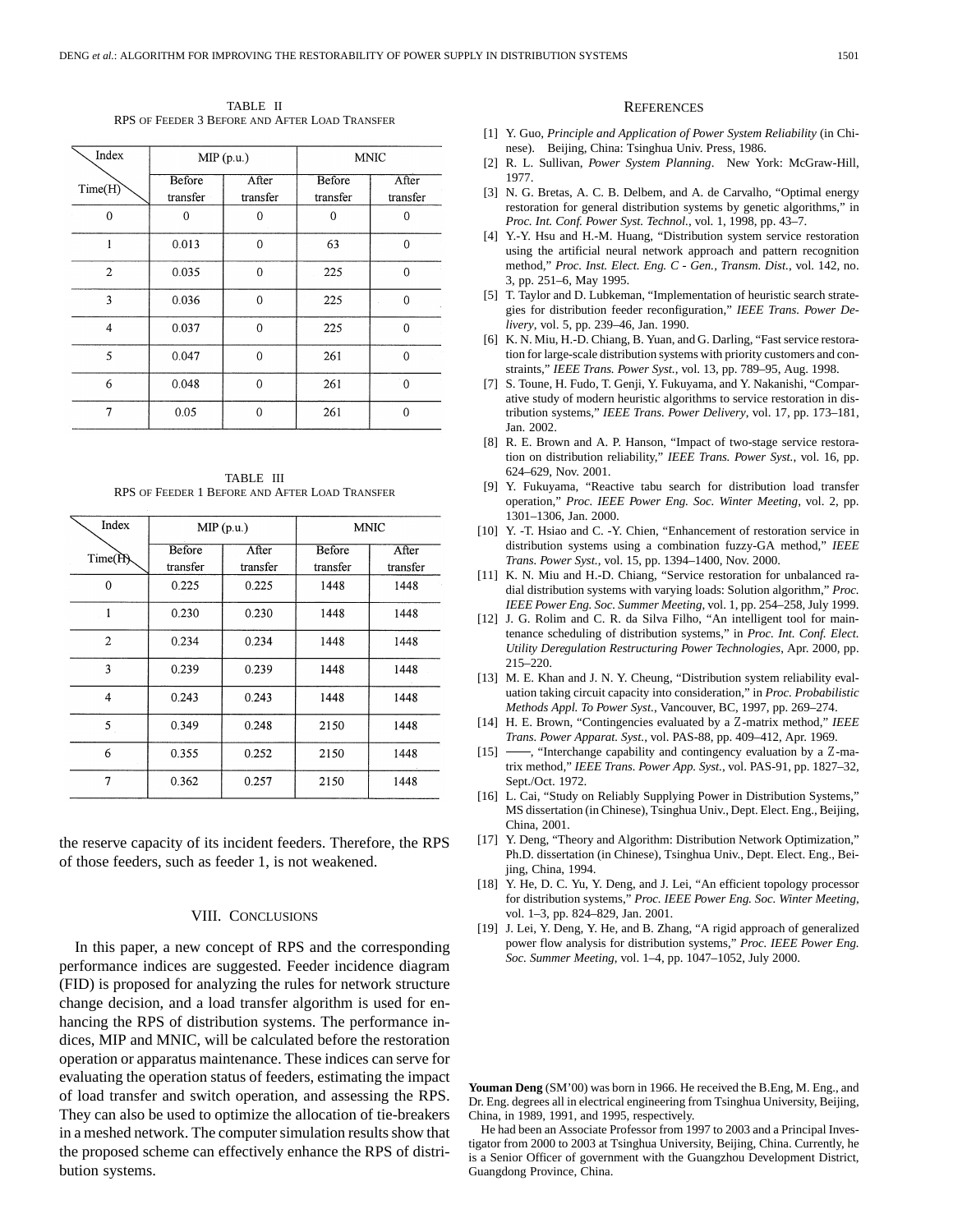TABLE II RPS OF FEEDER 3 BEFORE AND AFTER LOAD TRANSFER

| Index          | MIP(p.u.)          |                   | <b>MNIC</b>        |                   |
|----------------|--------------------|-------------------|--------------------|-------------------|
| Time(H)        | Before<br>transfer | After<br>transfer | Before<br>transfer | After<br>transfer |
| 0              | U                  | 0                 | 0                  | 0                 |
|                | 0.013              | $\theta$          | 63                 | $\Omega$          |
| $\overline{2}$ | 0.035              | $\overline{0}$    | 225                | $\Omega$          |
| 3              | 0.036              | $\mathbf{0}$      | 225                | $\Omega$          |
| $\overline{4}$ | 0.037              | $\mathbf{0}$      | 225                | 0                 |
| 5              | 0.047              | $\overline{0}$    | 261                | $\Omega$          |
| 6              | 0.048              | $\Omega$          | 261                | $\Omega$          |
| 7              | 0.05               | $\Omega$          | 261                | $\Omega$          |

TABLE III RPS OF FEEDER 1 BEFORE AND AFTER LOAD TRANSFER

| Index                   | MIP(p.u.)          |                   | <b>MNIC</b>        |                   |
|-------------------------|--------------------|-------------------|--------------------|-------------------|
| Time(H)                 | Before<br>transfer | After<br>transfer | Before<br>transfer | After<br>transfer |
| $\Omega$                | 0.225              | 0.225             | 1448               | 1448              |
| 1                       | 0.230              | 0.230             | 1448               | 1448              |
| $\overline{2}$          | 0.234              | 0.234             | 1448               | 1448              |
| $\overline{\mathbf{3}}$ | 0.239              | 0.239             | 1448               | 1448              |
| 4                       | 0.243              | 0.243             | 1448               | 1448              |
| 5                       | 0.349              | 0.248             | 2150               | 1448              |
| 6                       | 0.355              | 0.252             | 2150               | 1448              |
| 7                       | 0.362              | 0.257             | 2150               | 1448              |

the reserve capacity of its incident feeders. Therefore, the RPS of those feeders, such as feeder 1, is not weakened.

## VIII. CONCLUSIONS

In this paper, a new concept of RPS and the corresponding performance indices are suggested. Feeder incidence diagram (FID) is proposed for analyzing the rules for network structure change decision, and a load transfer algorithm is used for enhancing the RPS of distribution systems. The performance indices, MIP and MNIC, will be calculated before the restoration operation or apparatus maintenance. These indices can serve for evaluating the operation status of feeders, estimating the impact of load transfer and switch operation, and assessing the RPS. They can also be used to optimize the allocation of tie-breakers in a meshed network. The computer simulation results show that the proposed scheme can effectively enhance the RPS of distribution systems.

## **REFERENCES**

- [1] Y. Guo, *Principle and Application of Power System Reliability* (in Chinese). Beijing, China: Tsinghua Univ. Press, 1986.
- [2] R. L. Sullivan, *Power System Planning*. New York: McGraw-Hill, 1977.
- [3] N. G. Bretas, A. C. B. Delbem, and A. de Carvalho, "Optimal energy restoration for general distribution systems by genetic algorithms," in *Proc. Int. Conf. Power Syst. Technol.*, vol. 1, 1998, pp. 43–7.
- [4] Y.-Y. Hsu and H.-M. Huang, "Distribution system service restoration using the artificial neural network approach and pattern recognition method," *Proc. Inst. Elect. Eng. C - Gen., Transm. Dist.*, vol. 142, no. 3, pp. 251–6, May 1995.
- [5] T. Taylor and D. Lubkeman, "Implementation of heuristic search strategies for distribution feeder reconfiguration," *IEEE Trans. Power Delivery*, vol. 5, pp. 239–46, Jan. 1990.
- [6] K. N. Miu, H.-D. Chiang, B. Yuan, and G. Darling, "Fast service restoration for large-scale distribution systems with priority customers and constraints," *IEEE Trans. Power Syst.*, vol. 13, pp. 789–95, Aug. 1998.
- [7] S. Toune, H. Fudo, T. Genji, Y. Fukuyama, and Y. Nakanishi, "Comparative study of modern heuristic algorithms to service restoration in distribution systems," *IEEE Trans. Power Delivery*, vol. 17, pp. 173–181, Jan. 2002.
- [8] R. E. Brown and A. P. Hanson, "Impact of two-stage service restoration on distribution reliability," *IEEE Trans. Power Syst.*, vol. 16, pp. 624–629, Nov. 2001.
- [9] Y. Fukuyama, "Reactive tabu search for distribution load transfer operation," *Proc. IEEE Power Eng. Soc. Winter Meeting*, vol. 2, pp. 1301–1306, Jan. 2000.
- [10] Y. -T. Hsiao and C. -Y. Chien, "Enhancement of restoration service in distribution systems using a combination fuzzy-GA method," *IEEE Trans. Power Syst.*, vol. 15, pp. 1394–1400, Nov. 2000.
- [11] K. N. Miu and H.-D. Chiang, "Service restoration for unbalanced radial distribution systems with varying loads: Solution algorithm," *Proc. IEEE Power Eng. Soc. Summer Meeting*, vol. 1, pp. 254–258, July 1999.
- [12] J. G. Rolim and C. R. da Silva Filho, "An intelligent tool for maintenance scheduling of distribution systems," in *Proc. Int. Conf. Elect. Utility Deregulation Restructuring Power Technologies*, Apr. 2000, pp. 215–220.
- [13] M. E. Khan and J. N. Y. Cheung, "Distribution system reliability evaluation taking circuit capacity into consideration," in *Proc. Probabilistic Methods Appl. To Power Syst.*, Vancouver, BC, 1997, pp. 269–274.
- [14] H. E. Brown, "Contingencies evaluated by a Z-matrix method," *IEEE Trans. Power Apparat. Syst.*, vol. PAS-88, pp. 409–412, Apr. 1969.
- $[15]$  , "Interchange capability and contingency evaluation by a Z-matrix method," *IEEE Trans. Power App. Syst.*, vol. PAS-91, pp. 1827–32, Sept./Oct. 1972.
- [16] L. Cai, "Study on Reliably Supplying Power in Distribution Systems," MS dissertation (in Chinese), Tsinghua Univ., Dept. Elect. Eng., Beijing, China, 2001.
- [17] Y. Deng, "Theory and Algorithm: Distribution Network Optimization," Ph.D. dissertation (in Chinese), Tsinghua Univ., Dept. Elect. Eng., Beiiing, China, 1994.
- [18] Y. He, D. C. Yu, Y. Deng, and J. Lei, "An efficient topology processor for distribution systems," *Proc. IEEE Power Eng. Soc. Winter Meeting*, vol. 1–3, pp. 824–829, Jan. 2001.
- [19] J. Lei, Y. Deng, Y. He, and B. Zhang, "A rigid approach of generalized power flow analysis for distribution systems," *Proc. IEEE Power Eng. Soc. Summer Meeting*, vol. 1–4, pp. 1047–1052, July 2000.

**Youman Deng** (SM'00) was born in 1966. He received the B.Eng, M. Eng., and Dr. Eng. degrees all in electrical engineering from Tsinghua University, Beijing, China, in 1989, 1991, and 1995, respectively.

He had been an Associate Professor from 1997 to 2003 and a Principal Investigator from 2000 to 2003 at Tsinghua University, Beijing, China. Currently, he is a Senior Officer of government with the Guangzhou Development District, Guangdong Province, China.